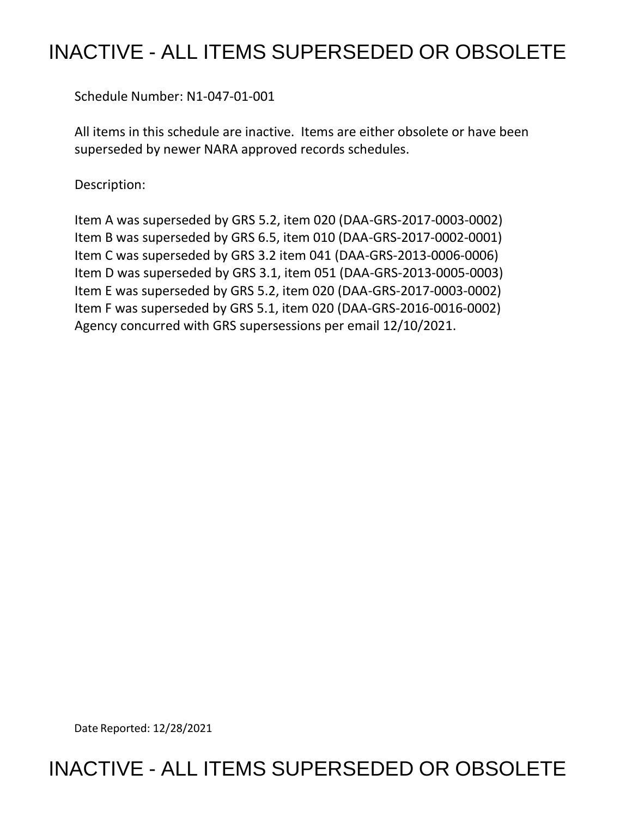## INACTIVE - ALL ITEMS SUPERSEDED OR OBSOLETE

Schedule Number: N1-047-01-001

 All items in this schedule are inactive. Items are either obsolete or have been superseded by newer NARA approved records schedules.

Description:

 Item A was superseded by GRS 5.2, item 020 (DAA-GRS-2017-0003-0002) Item B was superseded by GRS 6.5, item 010 (DAA-GRS-2017-0002-0001) Item C was superseded by GRS 3.2 item 041 (DAA-GRS-2013-0006-0006) Item D was superseded by GRS 3.1, item 051 (DAA-GRS-2013-0005-0003) Item E was superseded by GRS 5.2, item 020 (DAA-GRS-2017-0003-0002) Item F was superseded by GRS 5.1, item 020 (DAA-GRS-2016-0016-0002) Agency concurred with GRS supersessions per email 12/10/2021.

Date Reported: 12/28/2021

INACTIVE - ALL ITEMS SUPERSEDED OR OBSOLETE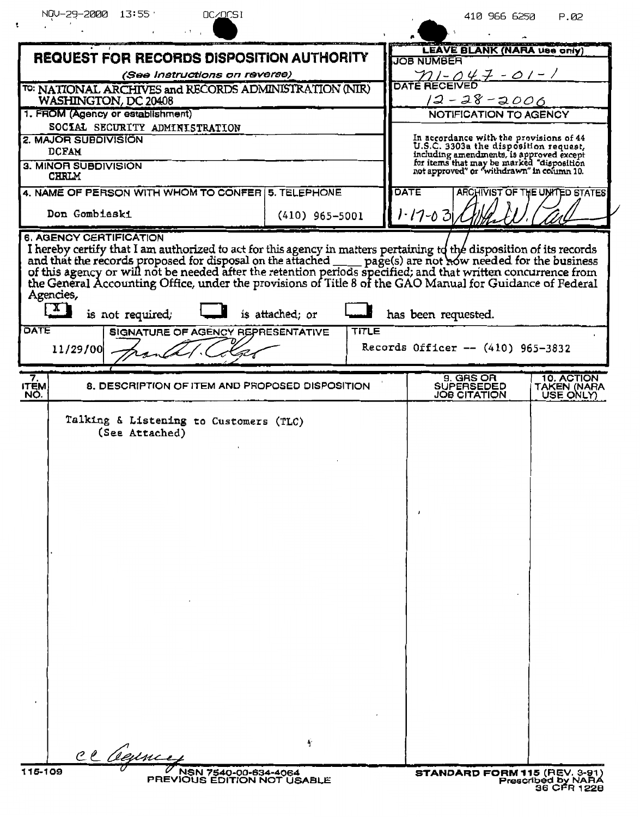| NOV-29-2000 13:55'<br>OC/OCSI                                                                                                                                                                                                  | 410 966 6250<br>P.02                                                                                                                                                                                                                                                                                                                                                                                                    |
|--------------------------------------------------------------------------------------------------------------------------------------------------------------------------------------------------------------------------------|-------------------------------------------------------------------------------------------------------------------------------------------------------------------------------------------------------------------------------------------------------------------------------------------------------------------------------------------------------------------------------------------------------------------------|
|                                                                                                                                                                                                                                |                                                                                                                                                                                                                                                                                                                                                                                                                         |
| REQUEST FOR RECORDS DISPOSITION AUTHORITY                                                                                                                                                                                      | LEAVE BLANK (NARA use only)<br><b>JOB NUMBER</b>                                                                                                                                                                                                                                                                                                                                                                        |
| (See Instructions on reverse)                                                                                                                                                                                                  | $21 - 047 - 01 - 1$                                                                                                                                                                                                                                                                                                                                                                                                     |
| TO: NATIONAL ARCHIVES and RECORDS ADMINISTRATION (NIR)                                                                                                                                                                         | <b>DATE RECEIVED</b>                                                                                                                                                                                                                                                                                                                                                                                                    |
| WASHINGTON, DC 20408                                                                                                                                                                                                           | $12 - 28 - 2000$                                                                                                                                                                                                                                                                                                                                                                                                        |
| 1. FROM (Agency or establishment)<br>SOCIAL SECURITY ADMINISTRATION                                                                                                                                                            | NOTIFICATION TO AGENCY                                                                                                                                                                                                                                                                                                                                                                                                  |
| 2. MAJOR SUBDIVISION                                                                                                                                                                                                           | In accordance with the provisions of 44                                                                                                                                                                                                                                                                                                                                                                                 |
| <b>DCFAM</b>                                                                                                                                                                                                                   | U.S.C. 3303a the disposition request,                                                                                                                                                                                                                                                                                                                                                                                   |
| 3. MINOR SUBDIVISION<br><b>CHRLM</b>                                                                                                                                                                                           | including amendments, is approved except<br>for items that may be marked "disposition<br>not approved" or "withdrawn" in column 10.                                                                                                                                                                                                                                                                                     |
| 4. NAME OF PERSON WITH WHOM TO CONFER 5. TELEPHONE                                                                                                                                                                             | DATE<br>ARCHIVIST OF THE UNITED STATES                                                                                                                                                                                                                                                                                                                                                                                  |
| Don Gombieski<br>$(410)$ 965-5001                                                                                                                                                                                              | $1 - 17 - 03$                                                                                                                                                                                                                                                                                                                                                                                                           |
| 6. AGENCY CERTIFICATION                                                                                                                                                                                                        |                                                                                                                                                                                                                                                                                                                                                                                                                         |
| I hereby certify that I am authorized to act for this agency in matters pertaining to the disposition of its records and that the records proposed for disposal on the attached _____ page(s) are not now needed for the busin |                                                                                                                                                                                                                                                                                                                                                                                                                         |
| Agencies,<br>$\mathbf{X}$<br>is not required;<br>is attached; or                                                                                                                                                               | has been requested.                                                                                                                                                                                                                                                                                                                                                                                                     |
| DATE<br>SIGNATURE OF AGENCY REPRESENTATIVE                                                                                                                                                                                     | TITLE                                                                                                                                                                                                                                                                                                                                                                                                                   |
| 11/29/00                                                                                                                                                                                                                       | Records Officer -- (410) 965-3832                                                                                                                                                                                                                                                                                                                                                                                       |
|                                                                                                                                                                                                                                | 9. GRS OR<br>10. ACTION                                                                                                                                                                                                                                                                                                                                                                                                 |
| $\frac{7}{11}$<br>8. DESCRIPTION OF ITEM AND PROPOSED DISPOSITION<br>NO.                                                                                                                                                       | <b>SUPERSEDED</b><br>TAKEN (NARA<br><b>JOB CITATION</b><br>USE ONLY)                                                                                                                                                                                                                                                                                                                                                    |
| Talking & Listening to Customers (TLC)<br>(See Attached)                                                                                                                                                                       |                                                                                                                                                                                                                                                                                                                                                                                                                         |
|                                                                                                                                                                                                                                |                                                                                                                                                                                                                                                                                                                                                                                                                         |
|                                                                                                                                                                                                                                |                                                                                                                                                                                                                                                                                                                                                                                                                         |
|                                                                                                                                                                                                                                |                                                                                                                                                                                                                                                                                                                                                                                                                         |
|                                                                                                                                                                                                                                | $\mathbf{J}% =\mathbf{J}+\mathbf{J}+\mathbf{J}+\mathbf{J}+\mathbf{J}+\mathbf{J}+\mathbf{J}+\mathbf{J}+\mathbf{J}+\mathbf{J}+\mathbf{J}+\mathbf{J}+\mathbf{J}+\mathbf{J}+\mathbf{J}+\mathbf{J}+\mathbf{J}+\mathbf{J}+\mathbf{J}+\mathbf{J}+\mathbf{J}+\mathbf{J}+\mathbf{J}+\mathbf{J}+\mathbf{J}+\mathbf{J}+\mathbf{J}+\mathbf{J}+\mathbf{J}+\mathbf{J}+\mathbf{J}+\mathbf{J}+\mathbf{J}+\mathbf{J}+\mathbf{J}+\mathbf$ |
|                                                                                                                                                                                                                                |                                                                                                                                                                                                                                                                                                                                                                                                                         |
|                                                                                                                                                                                                                                |                                                                                                                                                                                                                                                                                                                                                                                                                         |
|                                                                                                                                                                                                                                |                                                                                                                                                                                                                                                                                                                                                                                                                         |
|                                                                                                                                                                                                                                |                                                                                                                                                                                                                                                                                                                                                                                                                         |
|                                                                                                                                                                                                                                |                                                                                                                                                                                                                                                                                                                                                                                                                         |
|                                                                                                                                                                                                                                |                                                                                                                                                                                                                                                                                                                                                                                                                         |
|                                                                                                                                                                                                                                |                                                                                                                                                                                                                                                                                                                                                                                                                         |
|                                                                                                                                                                                                                                |                                                                                                                                                                                                                                                                                                                                                                                                                         |
|                                                                                                                                                                                                                                |                                                                                                                                                                                                                                                                                                                                                                                                                         |
|                                                                                                                                                                                                                                |                                                                                                                                                                                                                                                                                                                                                                                                                         |
|                                                                                                                                                                                                                                |                                                                                                                                                                                                                                                                                                                                                                                                                         |
|                                                                                                                                                                                                                                |                                                                                                                                                                                                                                                                                                                                                                                                                         |
| Ÿ                                                                                                                                                                                                                              |                                                                                                                                                                                                                                                                                                                                                                                                                         |
| ce Ceunce                                                                                                                                                                                                                      |                                                                                                                                                                                                                                                                                                                                                                                                                         |
| V NSN 7540-00-634-4064<br>PREVIOUS EDITION NOT USABLE<br>115-109                                                                                                                                                               | STANDARD FORM 115 (REV. 3-91)<br>Prescribed by NARA<br>36 CFR 1228                                                                                                                                                                                                                                                                                                                                                      |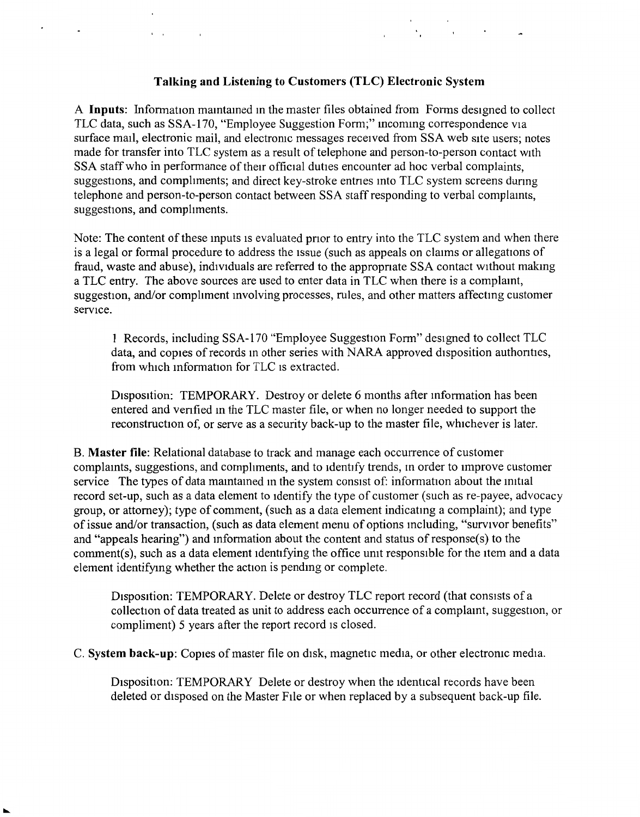## **Talking and Listening to Customers (TLC) Electronic System**

 $\Delta$ 

Contractor of the Contractor

 $\mathbf{v} = \mathbf{v}$  and  $\mathbf{v} = \mathbf{v}$ 

A **Inputs:** Information maintained in the master files obtained from Forms designed to collect TLC data, such as SSA-170, "Employee Suggestion Form;" incoming correspondence via surface mail, electronic mail, and electromc messages received from SSA web site users; notes made for transfer into TLC system as a result of telephone and person-to-person contact with SSA staff who in performance of their official duties encounter ad hoc verbal complaints, suggestions, and compliments; and direct key-stroke entries into TLC system screens during telephone and person-to-person contact between SSA staff responding to verbal complamts, suggestions, and compliments.

Note: The content of these mputs is evaluated pnor to entry into the TLC system and when there is a legal or formal procedure to address the issue (such as appeals on claims or allegations of fraud, waste and abuse), individuals are referred to the appropnate SSA contact without makmg a TLC entry. The above sources are used to enter data in TLC when there is a complamt, suggestion, and/or compliment involving processes, rules, and other matters affecting customer service.

**1** Records, including SSA-170 "Employee Suggestion Form" designed to collect TLC data, and copies of records in other series with NARA approved disposition authorities, from which mformation for TLC is extracted.

Disposition: TEMPORARY. Destroy or delete 6 months after mformation has been entered and venfied m the TLC master file, or when no longer needed to support the reconstruction of, or serve as a security back-up to the master file, whichever is later.

**B. Master file:** Relational database to track and manage each occurrence of customer complamts, suggestions, and compliments, and to identify trends, m order to improve customer service The types of data maintained in the system consist of: information about the initial record set-up, such as a data element to identify the type of customer (such as re-payee, advocacy group, or attorney); type of comment, (such as a data element indicatmg a complaint); and type of issue and/or transaction, (such as data element menu of options mcluding, "survivor benefits" and "appeals hearing") and mformation about the content and status of response(s) to the comment(s), such as a data element identifying the office umt responsible for the item and a data element identifymg whether the action is pendmg or complete.

Disposition: TEMPORARY. Delete or destroy TLC report record (that consists of a collection of data treated as unit to address each occurrence of a complamt, suggestion, or compliment) 5 years after the report record is closed.

C. **System back-up:** Copies ofmaster file on disk, magnetic media, or other electromc media.

Disposition: TEMPORARY Delete or destroy when the identical records have been deleted or disposed on the Master Flle or when replaced by a subsequent back-up file.